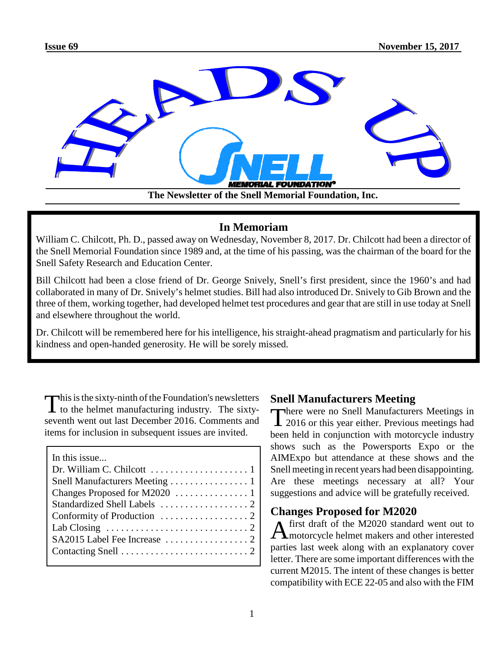

## **In Memoriam**

William C. Chilcott, Ph. D., passed away on Wednesday, November 8, 2017. Dr. Chilcott had been a director of the Snell Memorial Foundation since 1989 and, at the time of his passing, was the chairman of the board for the Snell Safety Research and Education Center.

Bill Chilcott had been a close friend of Dr. George Snively, Snell's first president, since the 1960's and had collaborated in many of Dr. Snively's helmet studies. Bill had also introduced Dr. Snively to Gib Brown and the three of them, working together, had developed helmet test procedures and gear that are still in use today at Snell and elsewhere throughout the world.

Dr. Chilcott will be remembered here for his intelligence, his straight-ahead pragmatism and particularly for his kindness and open-handed generosity. He will be sorely missed.

This is the sixty-ninth of the Foundation's newsletters<br>to the helmet manufacturing industry. The sixty- $\blacktriangle$  to the helmet manufacturing industry. The sixtyseventh went out last December 2016. Comments and items for inclusion in subsequent issues are invited.

| In this issue                                                           |
|-------------------------------------------------------------------------|
|                                                                         |
| Snell Manufacturers Meeting 1                                           |
|                                                                         |
|                                                                         |
|                                                                         |
| Lab Closing $\ldots \ldots \ldots \ldots \ldots \ldots \ldots \ldots 2$ |
|                                                                         |
|                                                                         |
|                                                                         |

# **Snell Manufacturers Meeting**

There were no Snell Manufacturers Meetings in 2016 or this year either. Previous meetings had There were no Snell Manufacturers Meetings in been held in conjunction with motorcycle industry shows such as the Powersports Expo or the AIMExpo but attendance at these shows and the Snell meeting in recent years had been disappointing. Are these meetings necessary at all? Your suggestions and advice will be gratefully received.

# **Changes Proposed for M2020**

A motorcycle helmet makers and other interested first draft of the M2020 standard went out to parties last week along with an explanatory cover letter. There are some important differences with the current M2015. The intent of these changes is better compatibility with ECE 22-05 and also with the FIM